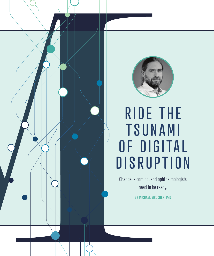

# RIDE THE T S U N A M I OF DIGITAL **DISRUPTION**

Change is coming, and ophthalmologists need to be ready.

**BY MICHAEL MROCHEN, PhD**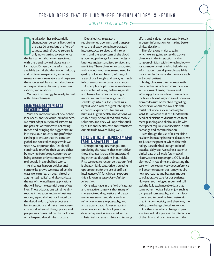### *DIGITAL HEALTH CARE*

Igitalization has substantially<br>
changed our personal lives duri<br>
the past 20 years, but the field d<br>
cataract and refractive surgery<br>
only now starting to experience<br>
the fundamental changes associated igitalization has substantially changed our personal lives during the past 20 years, but the field of cataract and refractive surgery is only now starting to experience with the trend toward digital transformation. Driven by the information available to stakeholders in our industry and profession—patients, surgeons, manufacturers, regulators, and payers these forces will fundamentally change our expectations, decisions, communications, and relations.

Will ophthalmology be ready to deal with these changes?

#### DIGITAL TRENDS OUTSIDE OF OPHTHALMOLOGY

With the introduction of new behaviors, needs, and sociocultural influences, we must adapt our clinical services to the patients of tomorrow. Following trends and bringing the bigger picture into view, our industry and profession can help to ensure that we consider global and societal changes while we seize new opportunities. People will continually redefine their values, either by moving from being consumers to being creators or by connecting with real people in a globalized world.

As changes happen quicker and complexity grows, we must adjust the ways we learn (eg, through virtual or augmented reality) and also navigate the use of the intelligent applications that will become essential parts of our lives. These adaptations will drive disruptive innovation and new business models, especially but not limited to the digital industry. We expect seamless interactions and instant responses in a world where all things, places, and people are connected on the backbone of high-speed digital infrastructure.

Digital ethics, regulatory requirements, openness, and transparency are already being incorporated into products, services, and interactions, and the ecosystem of the cloud is opening pathways for new modes of business and personalized services and medicine. These changes are associated with a continuously increased need for quality of life and health, infusing all areas of our lifestyle and work, as mindful consumption informs our choices.

As people adopt more value-driven approaches of living, balancing work and leisure becomes increasingly important and technology blends seamlessly into our lives, creating a hybrid world where digital intelligence enhances experiences for analog humans. Digital health innovations will enable truly personalized and mobile solutions, and they will optimize quality of life and health care and transform our attitude toward living well.

#### DISRUPTIVE POTENTIAL IN CATARACT AND REFRACTIVE SURGERY

Disruption requires changes, and predicting the reasons that might drive those changes is crucial in understanding potential disruptions in our field. First, we need to recognize that our field is already highly data-driven, creating opportunities for the use of artificial intelligence (AI) for clinician support; this is known as *technology-clinician interaction*.

One advantage in the field of cataract and refractive surgery is that many of the associated diagnostics and treatments use structured data, such as refraction, corneal topography, and visual acuity data. However, adding new devices and technologies in our day-to-day work is associated with a substantial increase in data and training

effort, and it does not necessarily result in better information for making better clinical decisions.

Therefore, one major area in which we are going to see disruptive change is in the interaction of the surgeon-clinician with the technology for example by using AI to help derive information from all possible available data in order to make decisions for each individual patient.

Today, clinicians often consult with one another via online communication in the forms of email, forums, and Whatsapp, to name a few. These online tools are efficient ways to solicit opinions from colleagues or mentors regarding patients for whom the available data might not reveal a clear pathway forward. It is obvious that this fundamental need of clinicians to discuss cases, treatment planning, and clinical results with their peers requires simplification in data exchange and communication.

Even though the use of telemedicine has been increasing in recent decades, we are just at the point at which this technology is established enough to be of practical daily use. Accessing a patient's clinical data at all levels (eg, medical history, corneal topography, OCT, ocular biometry) in real time and discussing the case with colleagues via videoconference will become routine, but it may require new approaches and business models to collaborative care for our patients. However, technologies in our field still lack the fully exchangeable data that some other medical fields enjoy, such as computed tomography, and manufacturers tend to build isolated networks that limit connectivity and, therefore, the ability to exchange clinical knowhow.

Another area where change in perspective will take place is the interaction of the clinic and practitioner with the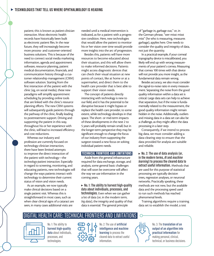patient; this is known as *patient-clinician interaction*. Most electronic health records have historically been built as electronic patient files. In the near future, they will increasingly become more process- and customer-oriented business solutions. This is because of the need to connect social media marketing information, agenda and appointment software, resource planning, patient medical documentation, financials, and communication history through a customer relationship management (CRM) software solution. Starting from the first interaction of the patient with the clinic (eg, on social media), these new paradigms will simplify appointment scheduling by providing online tools that are linked with the clinic's resource planning efforts. The new CRM systems will subsequently guide patients through the pathway of the clinic, finally leading to posttreatment support. Driving and supporting the patient in this way, throughout his or her experience with the clinic, will lead to increased efficiency and cost reductions.

Whereas our industry and profession are currently focused on technology-clinician interaction, there have been limited attempts to improve the direct interaction of the patient with technology—the *technology-patient interaction*. Especially in regard to screening, monitoring, and educating patients, new technologies will change the ways patients interact with technology to determine their current status of vision and vision needs.

As an example, we now typically make clinical decisions based on a single patient visit. Whereas this is straightforward in most cases, such as when clear clinical signs of a cataract are seen, in many cases additional visits are

needed until a medical intervention is indicated, as for a patient with a progressive condition. Here, new technologies that would allow the patient to monitor his or her vision over time would provide more insights into the arc of progression.

Besides this, patients will have more resources to become educated about their situation, and this will allow them to make informed decisions. Patients might access diagnostic devices that can check their visual situation at new points of contact, like at home or at a supermarket, and direct them to the health care provider that is best able to support their vision needs.

The concept of patients directly interacting with technology is new to our field, and it has the potential to be disruptive because it might bypass or replace the health care provider, to some extent, while technology develops in that space. The short- or mid-term impacts of these developments in the next 2 to 5 years will probably remain small, but in the longer-term perspective they may be significant enough to change the focus of our industry from supporting the surgeon toward a new focus on solving individual patient needs.

#### TECHNICAL FRONTIERS AND LIMITATIONS

Aside from the general infrastructure required for data exchange, storage, and analysis, some general basic challenges that will soon be overcome will affect the way we use information in the coming years.

► No. 1: The ability to harvest high-quality **data about individuals, processes, and technologies.** Even when we can gather a lot of data (or, in the modern term, *big data*), the integrity and quality of that data is essential. The general principle

of "garbage in, garbage out," or, in the German phrase, "wer misst misst mist" (he who is measuring, measures garbage), applies here. One needs to consider the quality and integrity of data, not just the quantity.

In a practical example, if your corneal topography device is miscalibrated, you likely will end up with wrong measurements of your patient's cornea. Measuring that cornea 100 times with that device will not provide you more insight, as the fundamental data remain wrong.

Besides accuracy, we also must consider the signal-to-noise ratio in every measurement. Separating the noise from the good quality information within a data set is critical. Large data sets can help to achieve that separation, but if the noise is fundamentally related to the measurement, the good quality information might remain hidden in the noise. Additionally, outliers and missing data in a data set can also be a challenge, as they might affect the data processing in a later step.

Consequently, if we intend to process big data, we must consider adding a data-clearing step to ensure that the data provided for analysis are suitable and reliable.

<sup>s</sup> **No. 2: The use of data analysis (or, in the modern terms,** *AI* **and** *machine learning***) to process the cleared data to extract useful information.** Methods that are used for this purpose of statistical processing are typically decision trees, regression analyses, or neuronal networks. Practically speaking, these methods are not new, but the available data and the processing speed used to run such methods has reached phenomenal levels.

Training algorithms require a training data set to establish the model, a test

## DIGITAL HEALTH CARE: TECHNICAL FRONTIERS AND LIMITATIONS



No. 1: The ability to **harvest high-quality data** about individuals, processes, and technologies.



No. 2: The use of **artificial intelligence and machine learning** to process the cleared data to extract useful information.



No. 3: The **translation of an output of an algorithm into practical information** for making personal, clinical, technical, or business decisions.